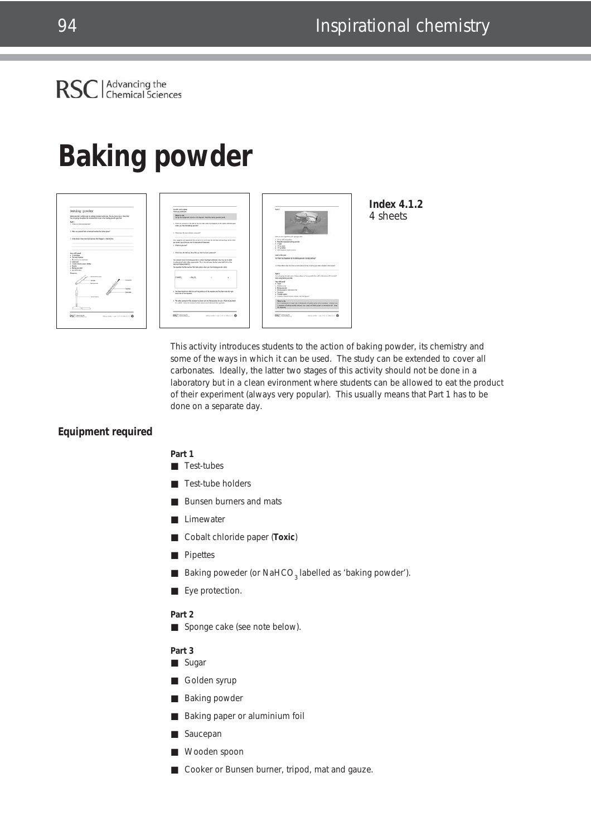# **Baking powder**



**Index 4.1.2** 4 sheets

This activity introduces students to the action of baking powder, its chemistry and some of the ways in which it can be used. The study can be extended to cover all carbonates. Ideally, the latter two stages of this activity should not be done in a laboratory but in a clean evironment where students can be allowed to eat the product of their experiment (always very popular). This usually means that Part 1 has to be done on a separate day.

## **Equipment required**

**Part 1**

## ■ Test-tubes

- Test-tube holders
- Bunsen burners and mats
- Limewater
- Cobalt chloride paper (**Toxic**)
- **Pipettes**
- Baking poweder (or NaHCO<sub>3</sub> labelled as 'baking powder').
- Eye protection.

### **Part 2**

■ Sponge cake (see note below).

#### **Part 3**

- Sugar
- Golden syrup
- Baking powder
- Baking paper or aluminium foil
- Saucepan
- Wooden spoon
- Cooker or Bunsen burner, tripod, mat and gauze.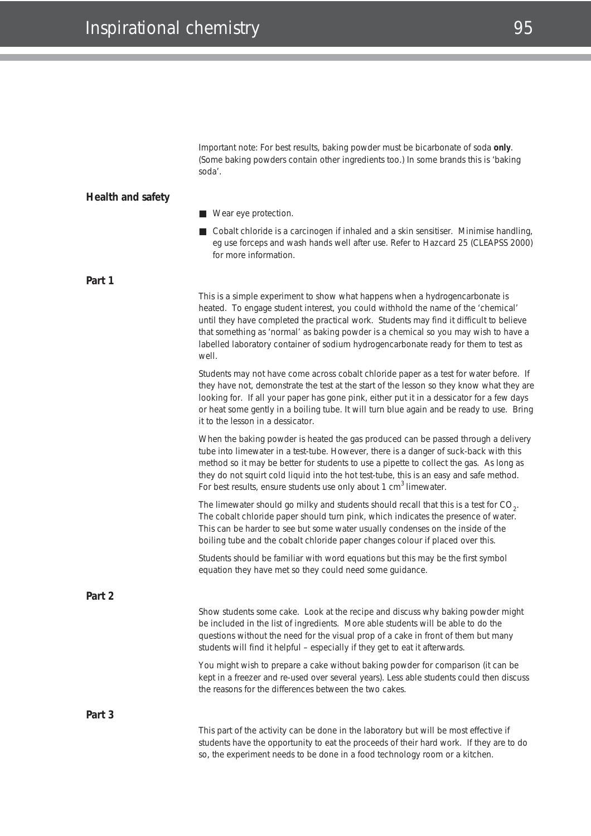Important note: For best results, baking powder must be bicarbonate of soda **only**. (Some baking powders contain other ingredients too.) In some brands this is 'baking soda'.

### **Health and safety**

**Part 1**

- Wear eye protection.
- Cobalt chloride is a carcinogen if inhaled and a skin sensitiser. Minimise handling, *eg* use forceps and wash hands well after use. Refer to Hazcard 25 (CLEAPSS 2000) for more information.

This is a simple experiment to show what happens when a hydrogencarbonate is heated. To engage student interest, you could withhold the name of the 'chemical' until they have completed the practical work. Students may find it difficult to believe that something as 'normal' as baking powder is a chemical so you may wish to have a labelled laboratory container of sodium hydrogencarbonate ready for them to test as well.

Students may not have come across cobalt chloride paper as a test for water before. If they have not, demonstrate the test at the start of the lesson so they know what they are looking for. If all your paper has gone pink, either put it in a dessicator for a few days or heat some gently in a boiling tube. It will turn blue again and be ready to use. Bring it to the lesson in a dessicator.

When the baking powder is heated the gas produced can be passed through a delivery tube into limewater in a test-tube. However, there is a danger of suck-back with this method so it may be better for students to use a pipette to collect the gas. As long as they do not squirt cold liquid into the hot test-tube, this is an easy and safe method. For best results, ensure students use only about 1 cm<sup>3</sup> limewater.

The limewater should go milky and students should recall that this is a test for CO<sub>2</sub>. The cobalt chloride paper should turn pink, which indicates the presence of water. This can be harder to see but some water usually condenses on the inside of the boiling tube and the cobalt chloride paper changes colour if placed over this.

Students should be familiar with word equations but this may be the first symbol equation they have met so they could need some guidance.

**Part 2**

Show students some cake. Look at the recipe and discuss why baking powder might be included in the list of ingredients. More able students will be able to do the questions without the need for the visual prop of a cake in front of them but many students will find it helpful – especially if they get to eat it afterwards.

You might wish to prepare a cake without baking powder for comparison (it can be kept in a freezer and re-used over several years). Less able students could then discuss the reasons for the differences between the two cakes.

**Part 3**

This part of the activity can be done in the laboratory but will be most effective if students have the opportunity to eat the proceeds of their hard work. If they are to do so, the experiment needs to be done in a food technology room or a kitchen.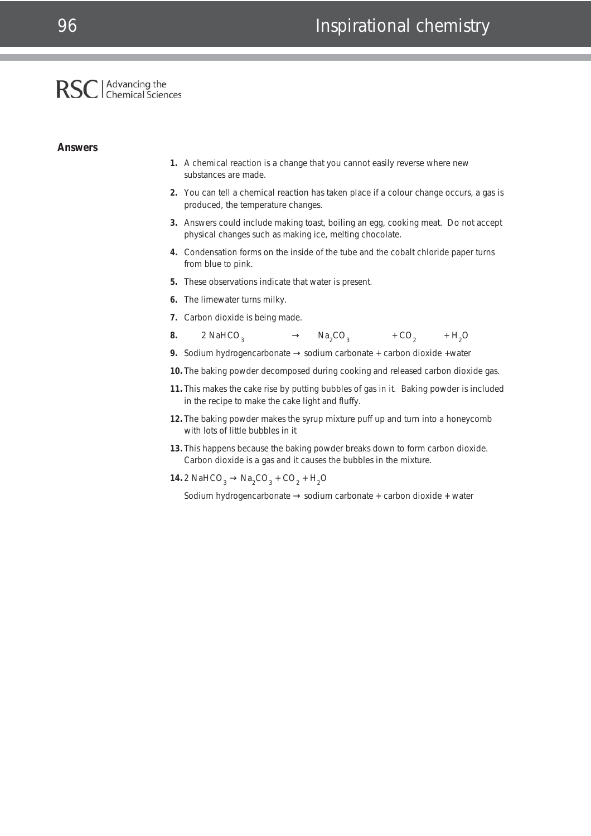## Advancing the<br>Chemical Sciences **RSC**

#### **Answers**

- **1.** A chemical reaction is a change that you cannot easily reverse where new substances are made.
- **2.** You can tell a chemical reaction has taken place if a colour change occurs, a gas is produced, the temperature changes.
- **3.** Answers could include making toast, boiling an egg, cooking meat. Do not accept physical changes such as making ice, melting chocolate.
- **4.** Condensation forms on the inside of the tube and the cobalt chloride paper turns from blue to pink.
- **5.** These observations indicate that water is present.
- **6.** The limewater turns milky.
- **7.** Carbon dioxide is being made.
- **8.** 2 NaHCO<sub>2</sub>  $\rightarrow$  $Na<sub>2</sub>CO<sub>2</sub>$  + CO<sub>2</sub>  $+ H<sub>2</sub>O$
- **9.** Sodium hydrogencarbonate → sodium carbonate + carbon dioxide +water
- **10.** The baking powder decomposed during cooking and released carbon dioxide gas.
- **11.** This makes the cake rise by putting bubbles of gas in it. Baking powder is included in the recipe to make the cake light and fluffy.
- **12.** The baking powder makes the syrup mixture puff up and turn into a honeycomb with lots of little bubbles in it
- **13.** This happens because the baking powder breaks down to form carbon dioxide. Carbon dioxide is a gas and it causes the bubbles in the mixture.

**14.** 2 NaHCO<sub>3</sub> → Na<sub>2</sub>CO<sub>3</sub> + CO<sub>2</sub> + H<sub>2</sub>O

Sodium hydrogencarbonate → sodium carbonate + carbon dioxide + water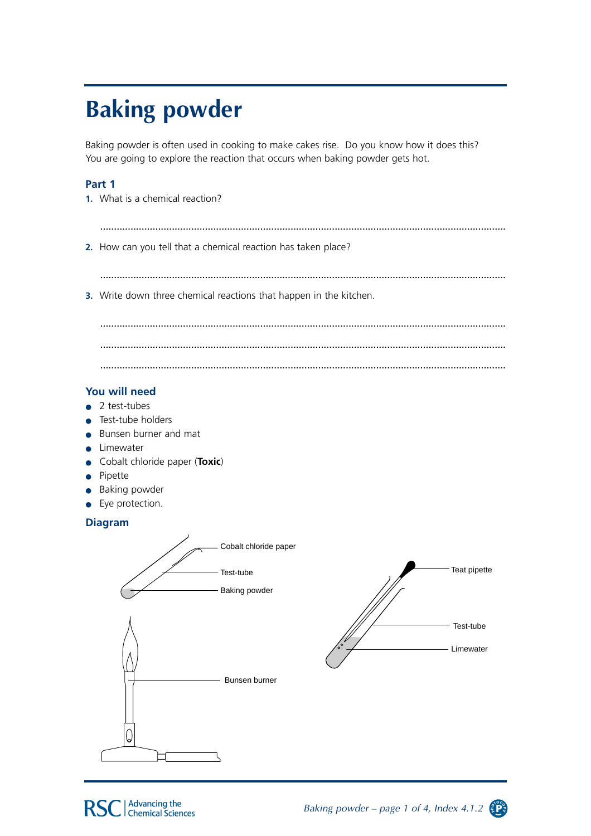# **Baking powder**

Baking powder is often used in cooking to make cakes rise. Do you know how it does this? You are going to explore the reaction that occurs when baking powder gets hot.

# Part 1

- 1. What is a chemical reaction?
- 2. How can you tell that a chemical reaction has taken place?

3. Write down three chemical reactions that happen in the kitchen.

# You will need

- $\bullet$  2 test-tubes
- Test-tube holders
- Bunsen burner and mat
- Limewater
- Cobalt chloride paper (Toxic)
- Pipette
- Baking powder
- Eye protection.

# **Diagram**





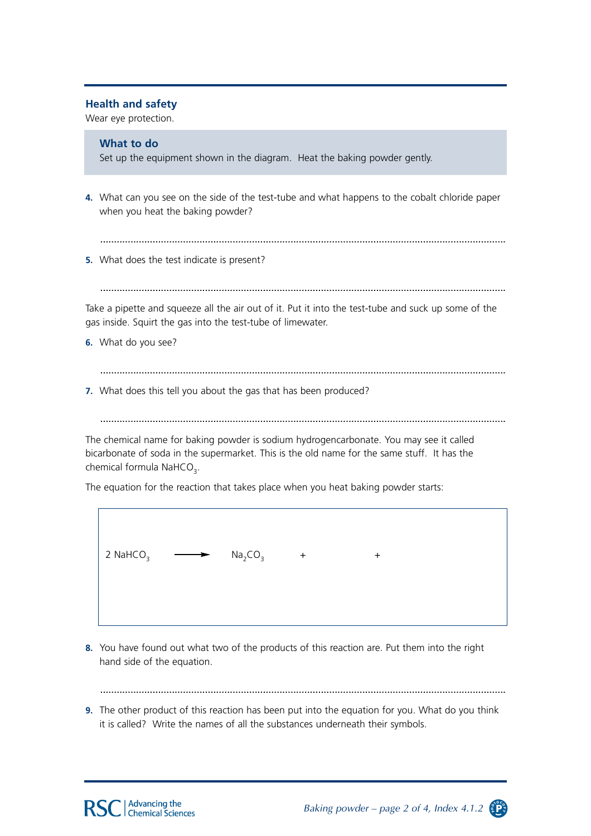## **Health and safety**

Wear eve protection.

# What to do

Set up the equipment shown in the diagram. Heat the baking powder gently.

- 4. What can you see on the side of the test-tube and what happens to the cobalt chloride paper when you heat the baking powder?
	-
- 5. What does the test indicate is present?

Take a pipette and squeeze all the air out of it. Put it into the test-tube and suck up some of the gas inside. Squirt the gas into the test-tube of limewater.

6. What do you see?

 $\overline{1}$ 

7. What does this tell you about the gas that has been produced?

The chemical name for baking powder is sodium hydrogencarbonate. You may see it called bicarbonate of soda in the supermarket. This is the old name for the same stuff. It has the chemical formula NaHCO<sub>3</sub>.

The equation for the reaction that takes place when you heat baking powder starts:

| 2 NaHCO <sub>3</sub> $\longrightarrow$ | $Na2CO3$ + | $\pm$ |  |
|----------------------------------------|------------|-------|--|
|                                        |            |       |  |

8. You have found out what two of the products of this reaction are. Put them into the right hand side of the equation.

9. The other product of this reaction has been put into the equation for you. What do you think it is called? Write the names of all the substances underneath their symbols.



Baking powder – page 2 of 4, Index 4.1.2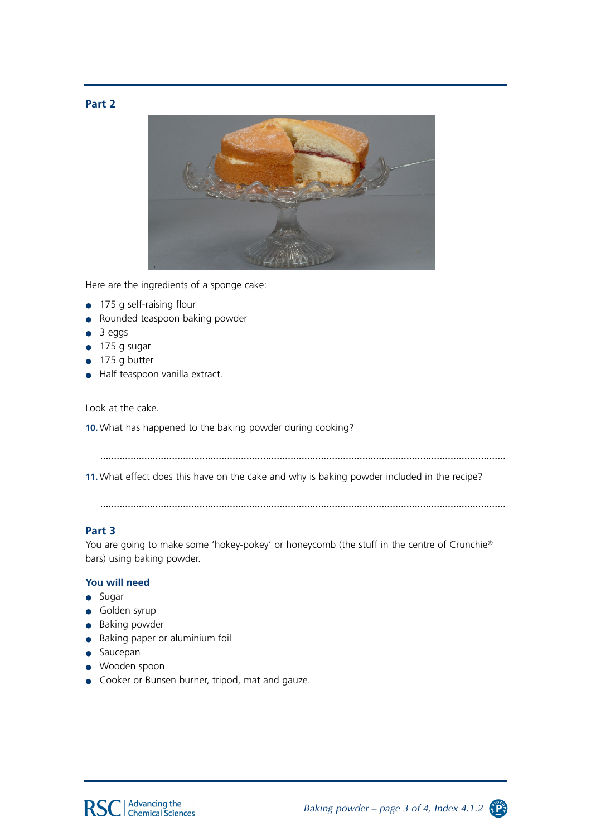



Here are the ingredients of a sponge cake:

- 175 g self-raising flour
- Rounded teaspoon baking powder  $\bullet$
- 3 eggs
- 175 g sugar
- 175 g butter
- Half teaspoon vanilla extract.

Look at the cake.

10. What has happened to the baking powder during cooking?

11. What effect does this have on the cake and why is baking powder included in the recipe?

## Part 3

You are going to make some 'hokey-pokey' or honeycomb (the stuff in the centre of Crunchie® bars) using baking powder.

## You will need

- $\bullet$  Sugar
- · Golden syrup
- Baking powder
- Baking paper or aluminium foil
- · Saucepan
- · Wooden spoon
- Cooker or Bunsen burner, tripod, mat and gauze.